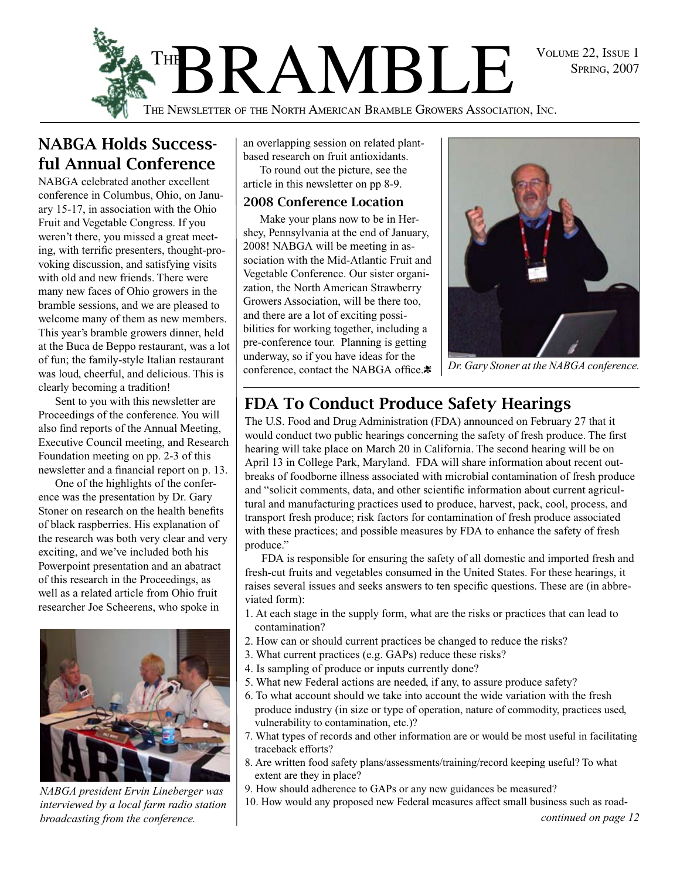



## NABGA Holds Successful Annual Conference

NABGA celebrated another excellent conference in Columbus, Ohio, on January 15-17, in association with the Ohio Fruit and Vegetable Congress. If you weren't there, you missed a great meeting, with terrific presenters, thought-provoking discussion, and satisfying visits with old and new friends. There were many new faces of Ohio growers in the bramble sessions, and we are pleased to welcome many of them as new members. This year's bramble growers dinner, held at the Buca de Beppo restaurant, was a lot of fun; the family-style Italian restaurant was loud, cheerful, and delicious. This is clearly becoming a tradition!

Sent to you with this newsletter are Proceedings of the conference. You will also find reports of the Annual Meeting, Executive Council meeting, and Research Foundation meeting on pp. 2-3 of this newsletter and a financial report on p. 13.

One of the highlights of the conference was the presentation by Dr. Gary Stoner on research on the health benefits of black raspberries. His explanation of the research was both very clear and very exciting, and we've included both his Powerpoint presentation and an abatract of this research in the Proceedings, as well as a related article from Ohio fruit researcher Joe Scheerens, who spoke in



*NABGA president Ervin Lineberger was interviewed by a local farm radio station broadcasting from the conference.*

an overlapping session on related plantbased research on fruit antioxidants.

To round out the picture, see the article in this newsletter on pp 8-9.

## 2008 Conference Location

Make your plans now to be in Hershey, Pennsylvania at the end of January, 2008! NABGA will be meeting in association with the Mid-Atlantic Fruit and Vegetable Conference. Our sister organization, the North American Strawberry Growers Association, will be there too, and there are a lot of exciting possibilities for working together, including a pre-conference tour. Planning is getting underway, so if you have ideas for the conference, contact the NABGA office. $\ddot{\mathbf{x}}$ 



*Dr. Gary Stoner at the NABGA conference.*

## FDA To Conduct Produce Safety Hearings

The U.S. Food and Drug Administration (FDA) announced on February 27 that it would conduct two public hearings concerning the safety of fresh produce. The first hearing will take place on March 20 in California. The second hearing will be on April 13 in College Park, Maryland. FDA will share information about recent outbreaks of foodborne illness associated with microbial contamination of fresh produce and "solicit comments, data, and other scientific information about current agricultural and manufacturing practices used to produce, harvest, pack, cool, process, and transport fresh produce; risk factors for contamination of fresh produce associated with these practices; and possible measures by FDA to enhance the safety of fresh produce."

FDA is responsible for ensuring the safety of all domestic and imported fresh and fresh-cut fruits and vegetables consumed in the United States. For these hearings, it raises several issues and seeks answers to ten specific questions. These are (in abbreviated form):

- 1. At each stage in the supply form, what are the risks or practices that can lead to contamination?
- 2. How can or should current practices be changed to reduce the risks?
- 3. What current practices (e.g. GAPs) reduce these risks?
- 4. Is sampling of produce or inputs currently done?
- 5. What new Federal actions are needed, if any, to assure produce safety?
- 6. To what account should we take into account the wide variation with the fresh produce industry (in size or type of operation, nature of commodity, practices used, vulnerability to contamination, etc.)?
- 7. What types of records and other information are or would be most useful in facilitating traceback efforts?
- 8. Are written food safety plans/assessments/training/record keeping useful? To what extent are they in place?
- 9. How should adherence to GAPs or any new guidances be measured?
- 10. How would any proposed new Federal measures affect small business such as road-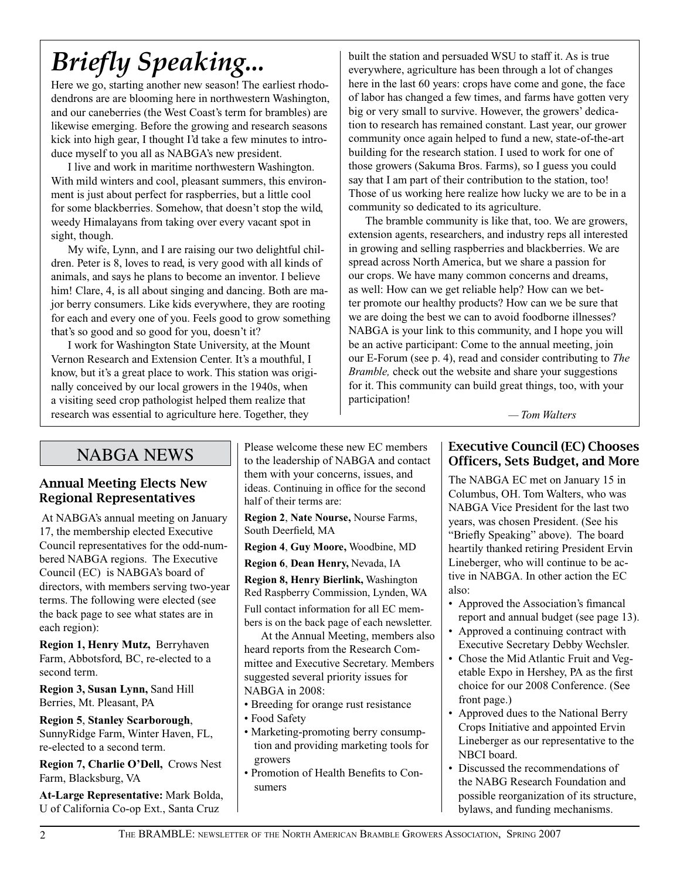# *Briefly Speaking...*

Here we go, starting another new season! The earliest rhododendrons are are blooming here in northwestern Washington, and our caneberries (the West Coast's term for brambles) are likewise emerging. Before the growing and research seasons kick into high gear, I thought I'd take a few minutes to introduce myself to you all as NABGA's new president.

I live and work in maritime northwestern Washington. With mild winters and cool, pleasant summers, this environment is just about perfect for raspberries, but a little cool for some blackberries. Somehow, that doesn't stop the wild, weedy Himalayans from taking over every vacant spot in sight, though.

My wife, Lynn, and I are raising our two delightful children. Peter is 8, loves to read, is very good with all kinds of animals, and says he plans to become an inventor. I believe him! Clare, 4, is all about singing and dancing. Both are major berry consumers. Like kids everywhere, they are rooting for each and every one of you. Feels good to grow something that's so good and so good for you, doesn't it?

I work for Washington State University, at the Mount Vernon Research and Extension Center. It's a mouthful, I know, but it's a great place to work. This station was originally conceived by our local growers in the 1940s, when a visiting seed crop pathologist helped them realize that research was essential to agriculture here. Together, they

built the station and persuaded WSU to staff it. As is true everywhere, agriculture has been through a lot of changes here in the last 60 years: crops have come and gone, the face of labor has changed a few times, and farms have gotten very big or very small to survive. However, the growers' dedication to research has remained constant. Last year, our grower community once again helped to fund a new, state-of-the-art building for the research station. I used to work for one of those growers (Sakuma Bros. Farms), so I guess you could say that I am part of their contribution to the station, too! Those of us working here realize how lucky we are to be in a community so dedicated to its agriculture.

The bramble community is like that, too. We are growers, extension agents, researchers, and industry reps all interested in growing and selling raspberries and blackberries. We are spread across North America, but we share a passion for our crops. We have many common concerns and dreams, as well: How can we get reliable help? How can we better promote our healthy products? How can we be sure that we are doing the best we can to avoid foodborne illnesses? NABGA is your link to this community, and I hope you will be an active participant: Come to the annual meeting, join our E-Forum (see p. 4), read and consider contributing to *The Bramble,* check out the website and share your suggestions for it. This community can build great things, too, with your participation!

 *— Tom Walters* 

## NABGA NEWS

## Annual Meeting Elects New Regional Representatives

 At NABGA's annual meeting on January 17, the membership elected Executive Council representatives for the odd-numbered NABGA regions. The Executive Council (EC) is NABGA's board of directors, with members serving two-year terms. The following were elected (see the back page to see what states are in each region):

**Region 1, Henry Mutz,** Berryhaven Farm, Abbotsford, BC, re-elected to a second term.

**Region 3, Susan Lynn,** Sand Hill Berries, Mt. Pleasant, PA

**Region 5**, **Stanley Scarborough**, SunnyRidge Farm, Winter Haven, FL, re-elected to a second term.

**Region 7, Charlie O'Dell,** Crows Nest Farm, Blacksburg, VA

**At-Large Representative:** Mark Bolda, U of California Co-op Ext., Santa Cruz

Please welcome these new EC members to the leadership of NABGA and contact them with your concerns, issues, and ideas. Continuing in office for the second half of their terms are:

**Region 2**, **Nate Nourse,** Nourse Farms, South Deerfield, MA

**Region 4**, **Guy Moore,** Woodbine, MD

**Region 6**, **Dean Henry,** Nevada, IA

**Region 8, Henry Bierlink,** Washington Red Raspberry Commission, Lynden, WA Full contact information for all EC members is on the back page of each newsletter.

At the Annual Meeting, members also heard reports from the Research Committee and Executive Secretary. Members suggested several priority issues for NABGA in 2008:

- Breeding for orange rust resistance
- Food Safety
- Marketing-promoting berry consumption and providing marketing tools for growers
- Promotion of Health Benefits to Consumers

## Executive Council (EC) Chooses Officers, Sets Budget, and More

The NABGA EC met on January 15 in Columbus, OH. Tom Walters, who was NABGA Vice President for the last two years, was chosen President. (See his "Briefly Speaking" above). The board heartily thanked retiring President Ervin Lineberger, who will continue to be active in NABGA. In other action the EC also:

- Approved the Association's fimancal report and annual budget (see page 13).
- Approved a continuing contract with Executive Secretary Debby Wechsler.
- Chose the Mid Atlantic Fruit and Vegetable Expo in Hershey, PA as the first choice for our 2008 Conference. (See front page.)
- Approved dues to the National Berry Crops Initiative and appointed Ervin Lineberger as our representative to the NBCI board.
- Discussed the recommendations of the NABG Research Foundation and possible reorganization of its structure, bylaws, and funding mechanisms.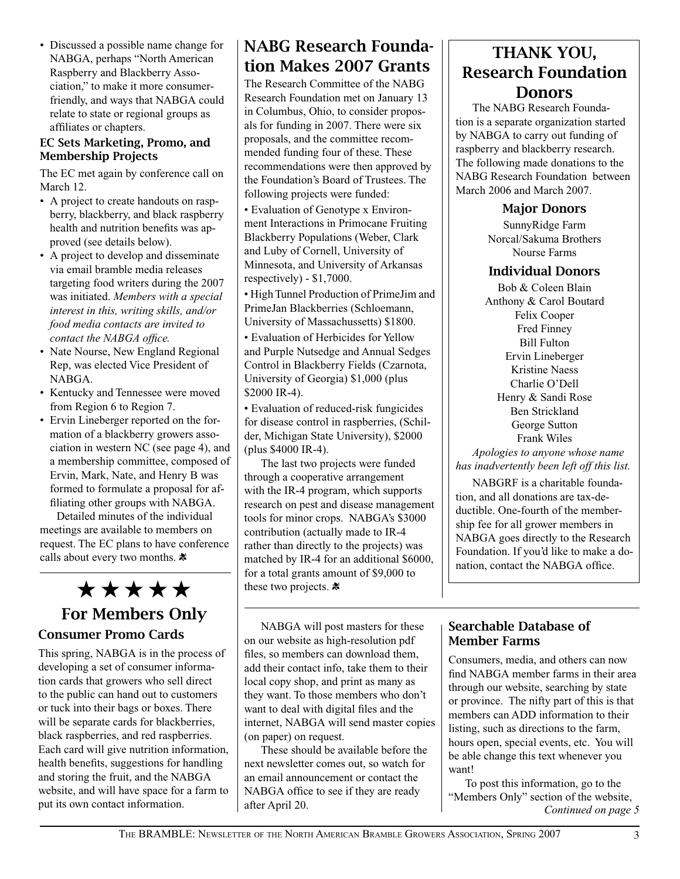• Discussed a possible name change for NABGA, perhaps "North American Raspberry and Blackberry Association," to make it more consumerfriendly, and ways that NABGA could relate to state or regional groups as affiliates or chapters.

#### EC Sets Marketing, Promo, and Membership Projects

The EC met again by conference call on March 12.

- A project to create handouts on raspberry, blackberry, and black raspberry health and nutrition benefits was approved (see details below).
- A project to develop and disseminate via email bramble media releases targeting food writers during the 2007 was initiated. *Members with a special interest in this, writing skills, and/or food media contacts are invited to contact the NABGA office.*
- Nate Nourse, New England Regional Rep, was elected Vice President of NABGA.
- Kentucky and Tennessee were moved from Region 6 to Region 7.
- Ervin Lineberger reported on the formation of a blackberry growers association in western NC (see page 4), and a membership committee, composed of Ervin, Mark, Nate, and Henry B was formed to formulate a proposal for affiliating other groups with NABGA.

Detailed minutes of the individual meetings are available to members on request. The EC plans to have conference calls about every two months.

 $\star \star \star \star$   $\star$  these two projects.  $*$ 

# For Members Only

## Consumer Promo Cards

This spring, NABGA is in the process of developing a set of consumer information cards that growers who sell direct to the public can hand out to customers or tuck into their bags or boxes. There will be separate cards for blackberries, black raspberries, and red raspberries. Each card will give nutrition information, health benefits, suggestions for handling and storing the fruit, and the NABGA website, and will have space for a farm to put its own contact information.

## NABG Research Foundation Makes 2007 Grants

The Research Committee of the NABG Research Foundation met on January 13 in Columbus, Ohio, to consider proposals for funding in 2007. There were six proposals, and the committee recommended funding four of these. These recommendations were then approved by the Foundation's Board of Trustees. The following projects were funded:

• Evaluation of Genotype x Environment Interactions in Primocane Fruiting Blackberry Populations (Weber, Clark and Luby of Cornell, University of Minnesota, and University of Arkansas respectively) - \$1,7000.

• High Tunnel Production of PrimeJim and PrimeJan Blackberries (Schloemann, University of Massachussetts) \$1800.

• Evaluation of Herbicides for Yellow and Purple Nutsedge and Annual Sedges Control in Blackberry Fields (Czarnota, University of Georgia) \$1,000 (plus \$2000 IR-4).

• Evaluation of reduced-risk fungicides for disease control in raspberries, (Schilder, Michigan State University), \$2000 (plus \$4000 IR-4).

The last two projects were funded through a cooperative arrangement with the IR-4 program, which supports research on pest and disease management tools for minor crops. NABGA's \$3000 contribution (actually made to IR-4 rather than directly to the projects) was matched by IR-4 for an additional \$6000, for a total grants amount of \$9,000 to

NABGA will post masters for these on our website as high-resolution pdf files, so members can download them, add their contact info, take them to their local copy shop, and print as many as they want. To those members who don't want to deal with digital files and the internet, NABGA will send master copies (on paper) on request.

These should be available before the next newsletter comes out, so watch for an email announcement or contact the NABGA office to see if they are ready after April 20.

## THANK YOU, Research Foundation Donors

The NABG Research Foundation is a separate organization started by NABGA to carry out funding of raspberry and blackberry research. The following made donations to the NABG Research Foundation between March 2006 and March 2007.

## Major Donors

SunnyRidge Farm Norcal/Sakuma Brothers Nourse Farms

## Individual Donors

Bob & Coleen Blain Anthony & Carol Boutard Felix Cooper Fred Finney Bill Fulton Ervin Lineberger Kristine Naess Charlie O'Dell Henry & Sandi Rose Ben Strickland George Sutton Frank Wiles

*Apologies to anyone whose name has inadvertently been left off this list.* 

NABGRF is a charitable foundation, and all donations are tax-deductible. One-fourth of the membership fee for all grower members in NABGA goes directly to the Research Foundation. If you'd like to make a donation, contact the NABGA office.

## Searchable Database of Member Farms

Consumers, media, and others can now find NABGA member farms in their area through our website, searching by state or province. The nifty part of this is that members can ADD information to their listing, such as directions to the farm, hours open, special events, etc. You will be able change this text whenever you want!

To post this information, go to the "Members Only" section of the website, *Continued on page 5*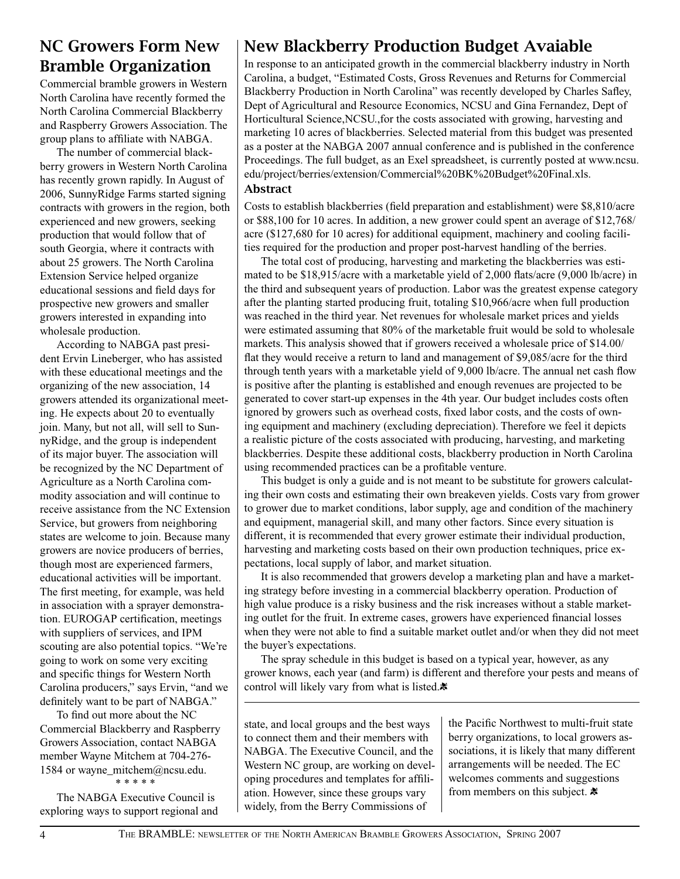## NC Growers Form New Bramble Organization

Commercial bramble growers in Western North Carolina have recently formed the North Carolina Commercial Blackberry and Raspberry Growers Association. The group plans to affiliate with NABGA.

The number of commercial blackberry growers in Western North Carolina has recently grown rapidly. In August of 2006, SunnyRidge Farms started signing contracts with growers in the region, both experienced and new growers, seeking production that would follow that of south Georgia, where it contracts with about 25 growers. The North Carolina Extension Service helped organize educational sessions and field days for prospective new growers and smaller growers interested in expanding into wholesale production.

According to NABGA past president Ervin Lineberger, who has assisted with these educational meetings and the organizing of the new association, 14 growers attended its organizational meeting. He expects about 20 to eventually join. Many, but not all, will sell to SunnyRidge, and the group is independent of its major buyer. The association will be recognized by the NC Department of Agriculture as a North Carolina commodity association and will continue to receive assistance from the NC Extension Service, but growers from neighboring states are welcome to join. Because many growers are novice producers of berries, though most are experienced farmers, educational activities will be important. The first meeting, for example, was held in association with a sprayer demonstration. EUROGAP certification, meetings with suppliers of services, and IPM scouting are also potential topics. "We're going to work on some very exciting and specific things for Western North Carolina producers," says Ervin, "and we definitely want to be part of NABGA."

To find out more about the NC Commercial Blackberry and Raspberry Growers Association, contact NABGA member Wayne Mitchem at 704-276- 1584 or wayne\_mitchem@ncsu.edu. \* \* \* \* \*

The NABGA Executive Council is exploring ways to support regional and

## New Blackberry Production Budget Avaiable

In response to an anticipated growth in the commercial blackberry industry in North Carolina, a budget, "Estimated Costs, Gross Revenues and Returns for Commercial Blackberry Production in North Carolina" was recently developed by Charles Safley, Dept of Agricultural and Resource Economics, NCSU and Gina Fernandez, Dept of Horticultural Science,NCSU.,for the costs associated with growing, harvesting and marketing 10 acres of blackberries. Selected material from this budget was presented as a poster at the NABGA 2007 annual conference and is published in the conference Proceedings. The full budget, as an Exel spreadsheet, is currently posted at www.ncsu. edu/project/berries/extension/Commercial%20BK%20Budget%20Final.xls.

#### Abstract

Costs to establish blackberries (field preparation and establishment) were \$8,810/acre or \$88,100 for 10 acres. In addition, a new grower could spent an average of \$12,768/ acre (\$127,680 for 10 acres) for additional equipment, machinery and cooling facilities required for the production and proper post-harvest handling of the berries.

The total cost of producing, harvesting and marketing the blackberries was estimated to be \$18,915/acre with a marketable yield of 2,000 flats/acre (9,000 lb/acre) in the third and subsequent years of production. Labor was the greatest expense category after the planting started producing fruit, totaling \$10,966/acre when full production was reached in the third year. Net revenues for wholesale market prices and yields were estimated assuming that 80% of the marketable fruit would be sold to wholesale markets. This analysis showed that if growers received a wholesale price of \$14.00/ flat they would receive a return to land and management of \$9,085/acre for the third through tenth years with a marketable yield of 9,000 lb/acre. The annual net cash flow is positive after the planting is established and enough revenues are projected to be generated to cover start-up expenses in the 4th year. Our budget includes costs often ignored by growers such as overhead costs, fixed labor costs, and the costs of owning equipment and machinery (excluding depreciation). Therefore we feel it depicts a realistic picture of the costs associated with producing, harvesting, and marketing blackberries. Despite these additional costs, blackberry production in North Carolina using recommended practices can be a profitable venture.

This budget is only a guide and is not meant to be substitute for growers calculating their own costs and estimating their own breakeven yields. Costs vary from grower to grower due to market conditions, labor supply, age and condition of the machinery and equipment, managerial skill, and many other factors. Since every situation is different, it is recommended that every grower estimate their individual production, harvesting and marketing costs based on their own production techniques, price expectations, local supply of labor, and market situation.

It is also recommended that growers develop a marketing plan and have a marketing strategy before investing in a commercial blackberry operation. Production of high value produce is a risky business and the risk increases without a stable marketing outlet for the fruit. In extreme cases, growers have experienced financial losses when they were not able to find a suitable market outlet and/or when they did not meet the buyer's expectations.

The spray schedule in this budget is based on a typical year, however, as any grower knows, each year (and farm) is different and therefore your pests and means of control will likely vary from what is listed. $*$ 

state, and local groups and the best ways to connect them and their members with NABGA. The Executive Council, and the Western NC group, are working on developing procedures and templates for affiliation. However, since these groups vary widely, from the Berry Commissions of

the Pacific Northwest to multi-fruit state berry organizations, to local growers associations, it is likely that many different arrangements will be needed. The EC welcomes comments and suggestions from members on this subject.  $\ast$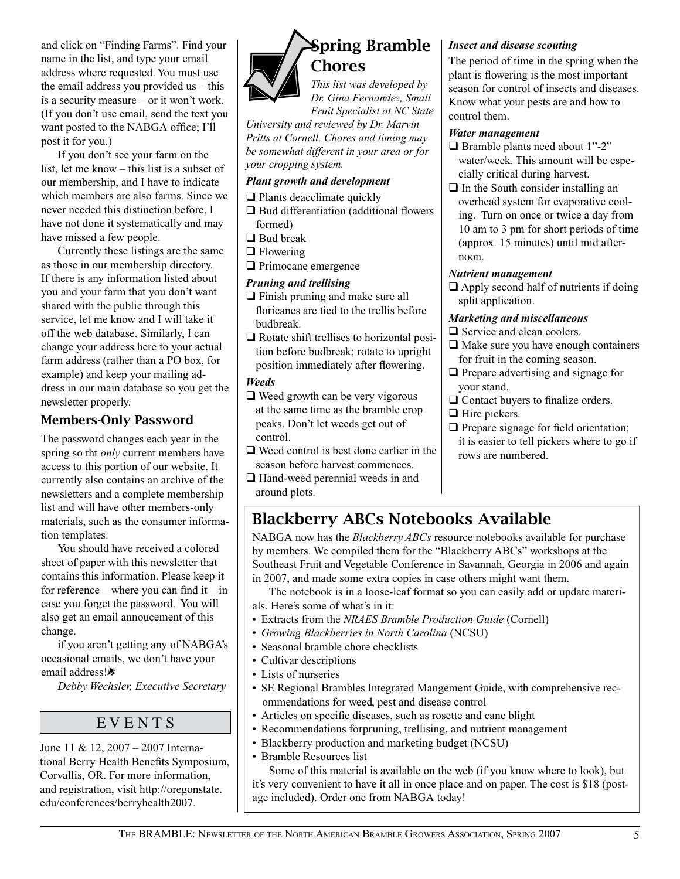and click on "Finding Farms". Find your name in the list, and type your email address where requested. You must use the email address you provided us – this is a security measure – or it won't work. (If you don't use email, send the text you want posted to the NABGA office; I'll post it for you.)

If you don't see your farm on the list, let me know – this list is a subset of our membership, and I have to indicate which members are also farms. Since we never needed this distinction before, I have not done it systematically and may have missed a few people.

Currently these listings are the same as those in our membership directory. If there is any information listed about you and your farm that you don't want shared with the public through this service, let me know and I will take it off the web database. Similarly, I can change your address here to your actual farm address (rather than a PO box, for example) and keep your mailing address in our main database so you get the newsletter properly.

## Members-Only Password

The password changes each year in the spring so tht *only* current members have access to this portion of our website. It currently also contains an archive of the newsletters and a complete membership list and will have other members-only materials, such as the consumer information templates.

You should have received a colored sheet of paper with this newsletter that contains this information. Please keep it for reference – where you can find  $it - in$ case you forget the password. You will also get an email annoucement of this change.

if you aren't getting any of NABGA's occasional emails, we don't have your email address!\*

*Debby Wechsler, Executive Secretary*

## **EVENTS**

June 11 & 12, 2007 – 2007 International Berry Health Benefits Symposium, Corvallis, OR. For more information, and registration, visit http://oregonstate. edu/conferences/berryhealth2007.



# Spring Bramble Chores

*This list was developed by Dr. Gina Fernandez, Small Fruit Specialist at NC State* 

*University and reviewed by Dr. Marvin Pritts at Cornell. Chores and timing may be somewhat different in your area or for your cropping system.* 

#### *Plant growth and development*

#### $\Box$  Plants deacclimate quickly

 $\Box$  Bud differentiation (additional flowers formed)

- $\Box$  Bud break
- $\Box$  Flowering
- $\Box$  Primocane emergence

#### *Pruning and trellising*

- $\Box$  Finish pruning and make sure all floricanes are tied to the trellis before budbreak.
- $\Box$  Rotate shift trellises to horizontal position before budbreak; rotate to upright position immediately after flowering.

#### *Weeds*

- $\Box$  Weed growth can be very vigorous at the same time as the bramble crop peaks. Don't let weeds get out of control.
- $\Box$  Weed control is best done earlier in the season before harvest commences.
- $\Box$  Hand-weed perennial weeds in and around plots.

#### *Insect and disease scouting*

The period of time in the spring when the plant is flowering is the most important season for control of insects and diseases. Know what your pests are and how to control them.

#### *Water management*

- $\Box$  Bramble plants need about 1"-2" water/week. This amount will be especially critical during harvest.
- $\Box$  In the South consider installing an overhead system for evaporative cooling. Turn on once or twice a day from 10 am to 3 pm for short periods of time (approx. 15 minutes) until mid afternoon.

#### *Nutrient management*

 $\Box$  Apply second half of nutrients if doing split application.

#### *Marketing and miscellaneous*

- $\Box$  Service and clean coolers.
- $\Box$  Make sure you have enough containers for fruit in the coming season.
- $\Box$  Prepare advertising and signage for your stand.
- $\Box$  Contact buyers to finalize orders.
- $\Box$  Hire pickers.
- $\Box$  Prepare signage for field orientation; it is easier to tell pickers where to go if rows are numbered.

## Blackberry ABCs Notebooks Available

NABGA now has the *Blackberry ABCs* resource notebooks available for purchase by members. We compiled them for the "Blackberry ABCs" workshops at the Southeast Fruit and Vegetable Conference in Savannah, Georgia in 2006 and again in 2007, and made some extra copies in case others might want them.

The notebook is in a loose-leaf format so you can easily add or update materials. Here's some of what's in it:

- Extracts from the *NRAES Bramble Production Guide* (Cornell)
- *Growing Blackberries in North Carolina* (NCSU)
- Seasonal bramble chore checklists
- Cultivar descriptions
- Lists of nurseries
- SE Regional Brambles Integrated Mangement Guide, with comprehensive recommendations for weed, pest and disease control
- Articles on specific diseases, such as rosette and cane blight
- Recommendations forpruning, trellising, and nutrient management
- Blackberry production and marketing budget (NCSU)
- Bramble Resources list

Some of this material is available on the web (if you know where to look), but it's very convenient to have it all in once place and on paper. The cost is \$18 (postage included). Order one from NABGA today!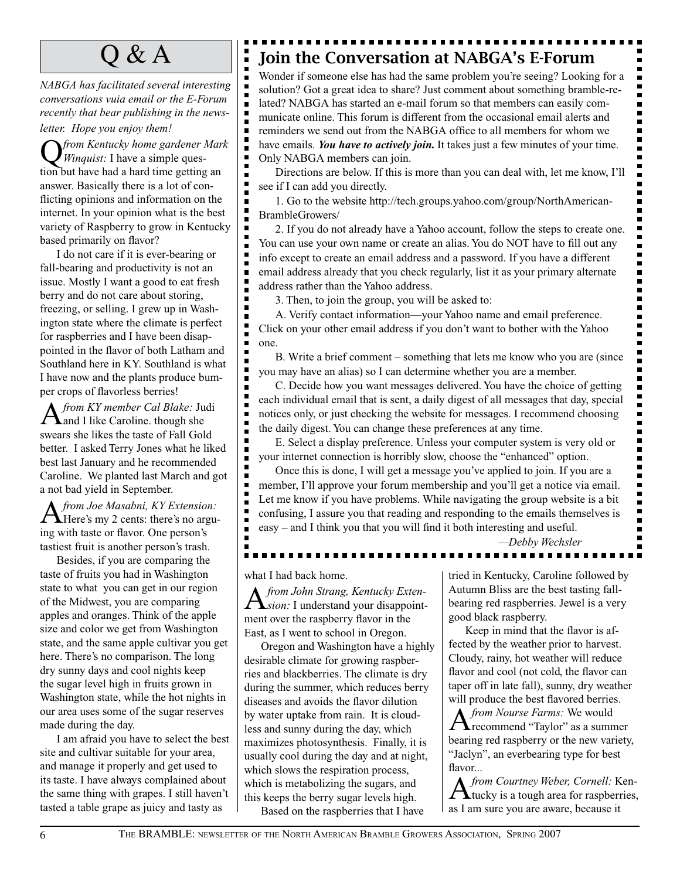$\blacksquare$ 

п  $\blacksquare$ 

Е

п

п

п п  $\blacksquare$ 

É

E

Е

Е

п

п

п  $\blacksquare$  $\blacksquare$ 

*NABGA has facilitated several interesting conversations vuia email or the E-Forum recently that bear publishing in the newsletter. Hope you enjoy them!* 

Q *from Kentucky home gardener Mark Winquist:* I have a simple question but have had a hard time getting an answer. Basically there is a lot of conflicting opinions and information on the internet. In your opinion what is the best variety of Raspberry to grow in Kentucky based primarily on flavor?

I do not care if it is ever-bearing or fall-bearing and productivity is not an issue. Mostly I want a good to eat fresh berry and do not care about storing, freezing, or selling. I grew up in Washington state where the climate is perfect for raspberries and I have been disappointed in the flavor of both Latham and Southland here in KY. Southland is what I have now and the plants produce bumper crops of flavorless berries!

A*from KY member Cal Blake:* Judi and I like Caroline. though she swears she likes the taste of Fall Gold better. I asked Terry Jones what he liked best last January and he recommended Caroline. We planted last March and got a not bad yield in September.

A*from Joe Masabni, KY Extension:*  Here's my 2 cents: there's no arguing with taste or flavor. One person's tastiest fruit is another person's trash.

Besides, if you are comparing the taste of fruits you had in Washington state to what you can get in our region of the Midwest, you are comparing apples and oranges. Think of the apple size and color we get from Washington state, and the same apple cultivar you get here. There's no comparison. The long dry sunny days and cool nights keep the sugar level high in fruits grown in Washington state, while the hot nights in our area uses some of the sugar reserves made during the day.

I am afraid you have to select the best site and cultivar suitable for your area, and manage it properly and get used to its taste. I have always complained about the same thing with grapes. I still haven't tasted a table grape as juicy and tasty as

# $\mathrm{O}\ \&\ \mathrm{A}$   $\parallel\blacksquare$  Join the Conversation at NABGA's E-Forum

Wonder if someone else has had the same problem you're seeing? Looking for a solution? Got a great idea to share? Just comment about something bramble-related? NABGA has started an e-mail forum so that members can easily communicate online. This forum is different from the occasional email alerts and reminders we send out from the NABGA office to all members for whom we have emails. *You have to actively join.* It takes just a few minutes of your time. Only NABGA members can join.

Directions are below. If this is more than you can deal with, let me know, I'll see if I can add you directly.

1. Go to the website http://tech.groups.yahoo.com/group/NorthAmerican-BrambleGrowers/

2. If you do not already have a Yahoo account, follow the steps to create one. You can use your own name or create an alias. You do NOT have to fill out any info except to create an email address and a password. If you have a different email address already that you check regularly, list it as your primary alternate address rather than the Yahoo address.

3. Then, to join the group, you will be asked to:

A. Verify contact information—your Yahoo name and email preference. Click on your other email address if you don't want to bother with the Yahoo one.

B. Write a brief comment – something that lets me know who you are (since you may have an alias) so I can determine whether you are a member.

C. Decide how you want messages delivered. You have the choice of getting each individual email that is sent, a daily digest of all messages that day, special notices only, or just checking the website for messages. I recommend choosing the daily digest. You can change these preferences at any time.

E. Select a display preference. Unless your computer system is very old or your internet connection is horribly slow, choose the "enhanced" option.

Once this is done, I will get a message you've applied to join. If you are a member, I'll approve your forum membership and you'll get a notice via email. Let me know if you have problems. While navigating the group website is a bit confusing, I assure you that reading and responding to the emails themselves is easy – and I think you that you will find it both interesting and useful.

*—Debby Wechsler*

-------------

Ξ  $\blacksquare$ П  $\blacksquare$ 

 $\blacksquare$ 

 $\blacksquare$ 

 $\blacksquare$ 

 $\blacksquare$  $\blacksquare$ п П  $\blacksquare$  $\blacksquare$  $\blacksquare$  $\blacksquare$ 

 $\blacksquare$  $\blacksquare$ 

 $\blacksquare$  $\blacksquare$  $\blacksquare$  $\blacksquare$ 

 $\blacksquare$  $\blacksquare$  $\blacksquare$ 

п  $\blacksquare$ п ē

 $\blacksquare$  $\blacksquare$  $\blacksquare$ Ē п

 $\blacksquare$ 

П  $\blacksquare$ 

п п

what I had back home.

---------

A*from John Strang, Kentucky Exten-sion:* I understand your disappointment over the raspberry flavor in the East, as I went to school in Oregon.

Oregon and Washington have a highly desirable climate for growing raspberries and blackberries. The climate is dry during the summer, which reduces berry diseases and avoids the flavor dilution by water uptake from rain. It is cloudless and sunny during the day, which maximizes photosynthesis. Finally, it is usually cool during the day and at night, which slows the respiration process, which is metabolizing the sugars, and this keeps the berry sugar levels high.

Based on the raspberries that I have

tried in Kentucky, Caroline followed by Autumn Bliss are the best tasting fallbearing red raspberries. Jewel is a very good black raspberry.

Keep in mind that the flavor is affected by the weather prior to harvest. Cloudy, rainy, hot weather will reduce flavor and cool (not cold, the flavor can taper off in late fall), sunny, dry weather will produce the best flavored berries.

*A from Nourse Farms:* We would<br>**A** recommend "Taylor" as a summer bearing red raspberry or the new variety, "Jaclyn", an everbearing type for best flavor...

A *from Courtney Weber, Cornell:* Ken-<br>Atucky is a tough area for raspberries, as I am sure you are aware, because it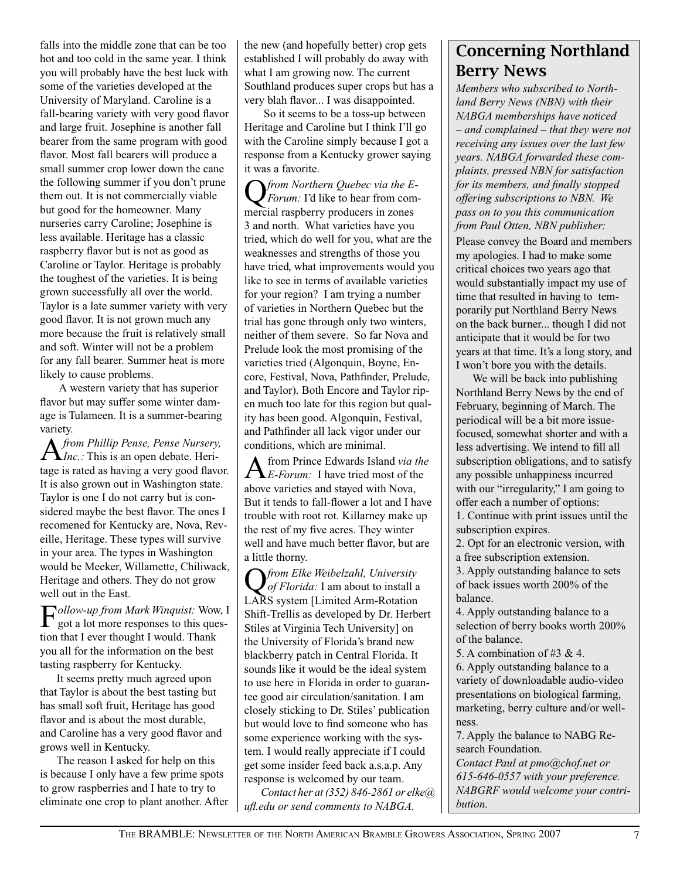falls into the middle zone that can be too hot and too cold in the same year. I think you will probably have the best luck with some of the varieties developed at the University of Maryland. Caroline is a fall-bearing variety with very good flavor and large fruit. Josephine is another fall bearer from the same program with good flavor. Most fall bearers will produce a small summer crop lower down the cane the following summer if you don't prune them out. It is not commercially viable but good for the homeowner. Many nurseries carry Caroline; Josephine is less available. Heritage has a classic raspberry flavor but is not as good as Caroline or Taylor. Heritage is probably the toughest of the varieties. It is being grown successfully all over the world. Taylor is a late summer variety with very good flavor. It is not grown much any more because the fruit is relatively small and soft. Winter will not be a problem for any fall bearer. Summer heat is more likely to cause problems.

 A western variety that has superior flavor but may suffer some winter damage is Tulameen. It is a summer-bearing variety.

A*from Phillip Pense, Pense Nursery, Inc.:* This is an open debate. Heritage is rated as having a very good flavor. It is also grown out in Washington state. Taylor is one I do not carry but is considered maybe the best flavor. The ones I recomened for Kentucky are, Nova, Reveille, Heritage. These types will survive in your area. The types in Washington would be Meeker, Willamette, Chiliwack, Heritage and others. They do not grow well out in the East.

F*ollow-up from Mark Winquist:* Wow, I got a lot more responses to this question that I ever thought I would. Thank you all for the information on the best tasting raspberry for Kentucky.

It seems pretty much agreed upon that Taylor is about the best tasting but has small soft fruit, Heritage has good flavor and is about the most durable, and Caroline has a very good flavor and grows well in Kentucky.

The reason I asked for help on this is because I only have a few prime spots to grow raspberries and I hate to try to eliminate one crop to plant another. After the new (and hopefully better) crop gets established I will probably do away with what I am growing now. The current Southland produces super crops but has a very blah flavor... I was disappointed.

 So it seems to be a toss-up between Heritage and Caroline but I think I'll go with the Caroline simply because I got a response from a Kentucky grower saying it was a favorite.

Q*from Northern Quebec via the E-Forum:* I'd like to hear from commercial raspberry producers in zones 3 and north. What varieties have you tried, which do well for you, what are the weaknesses and strengths of those you have tried, what improvements would you like to see in terms of available varieties for your region? I am trying a number of varieties in Northern Quebec but the trial has gone through only two winters, neither of them severe. So far Nova and Prelude look the most promising of the varieties tried (Algonquin, Boyne, Encore, Festival, Nova, Pathfinder, Prelude, and Taylor). Both Encore and Taylor ripen much too late for this region but quality has been good. Algonquin, Festival, and Pathfinder all lack vigor under our conditions, which are minimal.

A from Prince Edwards Island *via the E-Forum:* I have tried most of the above varieties and stayed with Nova, But it tends to fall-flower a lot and I have trouble with root rot. Killarney make up the rest of my five acres. They winter well and have much better flavor, but are a little thorny.

Q*from Elke Weibelzahl, University of Florida:* I am about to install a LARS system [Limited Arm-Rotation Shift-Trellis as developed by Dr. Herbert Stiles at Virginia Tech University] on the University of Florida's brand new blackberry patch in Central Florida. It sounds like it would be the ideal system to use here in Florida in order to guarantee good air circulation/sanitation. I am closely sticking to Dr. Stiles' publication but would love to find someone who has some experience working with the system. I would really appreciate if I could get some insider feed back a.s.a.p. Any response is welcomed by our team.

*Contact her at (352) 846-2861 or elke@ ufl.edu or send comments to NABGA.*

## Concerning Northland Berry News

*Members who subscribed to Northland Berry News (NBN) with their NABGA memberships have noticed – and complained – that they were not receiving any issues over the last few years. NABGA forwarded these complaints, pressed NBN for satisfaction for its members, and finally stopped offering subscriptions to NBN. We pass on to you this communication from Paul Otten, NBN publisher:*

Please convey the Board and members my apologies. I had to make some critical choices two years ago that would substantially impact my use of time that resulted in having to temporarily put Northland Berry News on the back burner... though I did not anticipate that it would be for two years at that time. It's a long story, and I won't bore you with the details.

We will be back into publishing Northland Berry News by the end of February, beginning of March. The periodical will be a bit more issuefocused, somewhat shorter and with a less advertising. We intend to fill all subscription obligations, and to satisfy any possible unhappiness incurred with our "irregularity," I am going to offer each a number of options: 1. Continue with print issues until the

subscription expires. 2. Opt for an electronic version, with

a free subscription extension.

3. Apply outstanding balance to sets of back issues worth 200% of the balance.

4. Apply outstanding balance to a selection of berry books worth 200% of the balance.

5. A combination of #3 & 4.

6. Apply outstanding balance to a variety of downloadable audio-video presentations on biological farming, marketing, berry culture and/or wellness.

7. Apply the balance to NABG Research Foundation.

*Contact Paul at pmo@chof.net or 615-646-0557 with your preference. NABGRF would welcome your contribution.*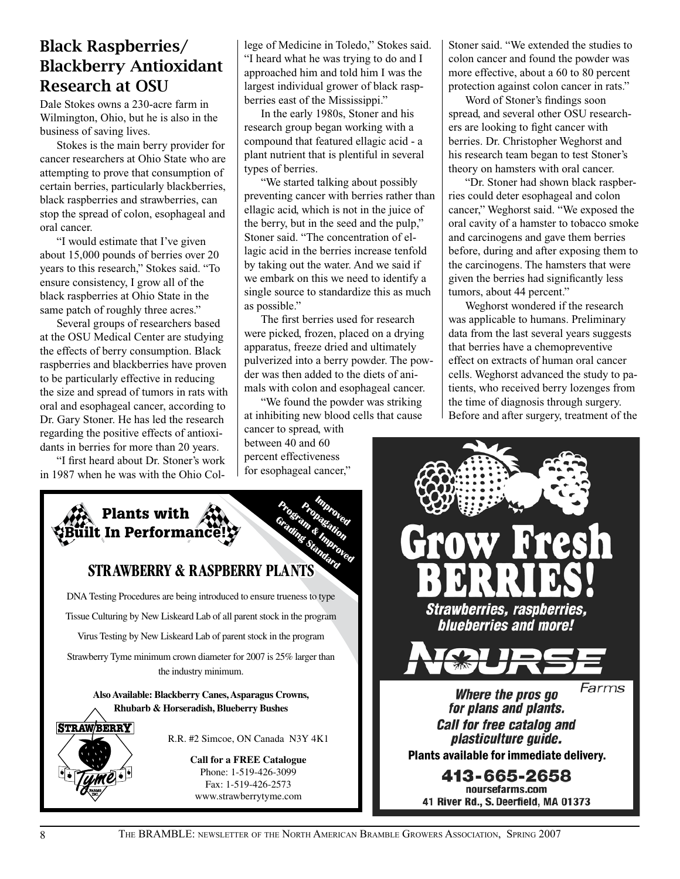# Blackberry Antioxidant Research at OSU

Dale Stokes owns a 230-acre farm in Wilmington, Ohio, but he is also in the business of saving lives.

Stokes is the main berry provider for cancer researchers at Ohio State who are attempting to prove that consumption of certain berries, particularly blackberries, black raspberries and strawberries, can stop the spread of colon, esophageal and oral cancer.

"I would estimate that I've given about 15,000 pounds of berries over 20 years to this research," Stokes said. "To ensure consistency, I grow all of the black raspberries at Ohio State in the same patch of roughly three acres."

Several groups of researchers based at the OSU Medical Center are studying the effects of berry consumption. Black raspberries and blackberries have proven to be particularly effective in reducing the size and spread of tumors in rats with oral and esophageal cancer, according to Dr. Gary Stoner. He has led the research regarding the positive effects of antioxidants in berries for more than 20 years.

"I first heard about Dr. Stoner's work in 1987 when he was with the Ohio College of Medicine in Toledo," Stokes said. "I heard what he was trying to do and I approached him and told him I was the largest individual grower of black raspberries east of the Mississippi."

In the early 1980s, Stoner and his research group began working with a compound that featured ellagic acid - a plant nutrient that is plentiful in several types of berries.

"We started talking about possibly preventing cancer with berries rather than ellagic acid, which is not in the juice of the berry, but in the seed and the pulp," Stoner said. "The concentration of ellagic acid in the berries increase tenfold by taking out the water. And we said if we embark on this we need to identify a single source to standardize this as much as possible."

The first berries used for research were picked, frozen, placed on a drying apparatus, freeze dried and ultimately pulverized into a berry powder. The powder was then added to the diets of animals with colon and esophageal cancer.

"We found the powder was striking at inhibiting new blood cells that cause

cancer to spread, with between 40 and 60 percent effectiveness for esophageal cancer," Stoner said. "We extended the studies to colon cancer and found the powder was more effective, about a 60 to 80 percent protection against colon cancer in rats."

Word of Stoner's findings soon spread, and several other OSU researchers are looking to fight cancer with berries. Dr. Christopher Weghorst and his research team began to test Stoner's theory on hamsters with oral cancer.

"Dr. Stoner had shown black raspberries could deter esophageal and colon cancer," Weghorst said. "We exposed the oral cavity of a hamster to tobacco smoke and carcinogens and gave them berries before, during and after exposing them to the carcinogens. The hamsters that were given the berries had significantly less tumors, about 44 percent."

Weghorst wondered if the research was applicable to humans. Preliminary data from the last several years suggests that berries have a chemopreventive effect on extracts of human oral cancer cells. Weghorst advanced the study to patients, who received berry lozenges from the time of diagnosis through surgery. Before and after surgery, treatment of the





The Bramble: newsletter of the North American Bramble Growers Association, Spring 2007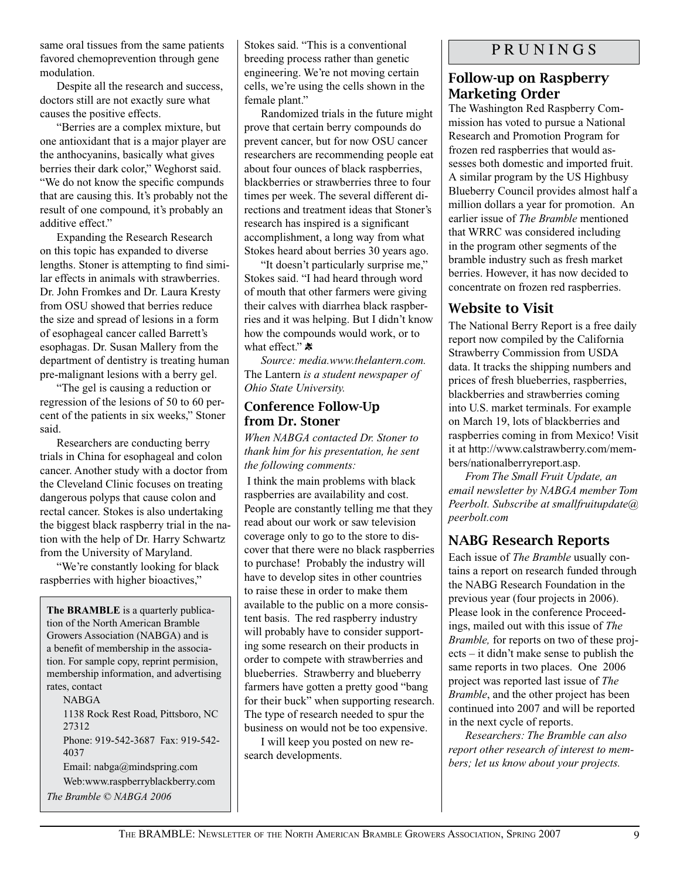same oral tissues from the same patients favored chemoprevention through gene modulation.

Despite all the research and success, doctors still are not exactly sure what causes the positive effects.

"Berries are a complex mixture, but one antioxidant that is a major player are the anthocyanins, basically what gives berries their dark color," Weghorst said. "We do not know the specific compunds that are causing this. It's probably not the result of one compound, it's probably an additive effect."

Expanding the Research Research on this topic has expanded to diverse lengths. Stoner is attempting to find similar effects in animals with strawberries. Dr. John Fromkes and Dr. Laura Kresty from OSU showed that berries reduce the size and spread of lesions in a form of esophageal cancer called Barrett's esophagas. Dr. Susan Mallery from the department of dentistry is treating human pre-malignant lesions with a berry gel.

"The gel is causing a reduction or regression of the lesions of 50 to 60 percent of the patients in six weeks," Stoner said.

Researchers are conducting berry trials in China for esophageal and colon cancer. Another study with a doctor from the Cleveland Clinic focuses on treating dangerous polyps that cause colon and rectal cancer. Stokes is also undertaking the biggest black raspberry trial in the nation with the help of Dr. Harry Schwartz from the University of Maryland.

"We're constantly looking for black raspberries with higher bioactives,"

**The BRAMBLE** is a quarterly publication of the North American Bramble Growers Association (NABGA) and is a benefit of membership in the association. For sample copy, reprint permision, membership information, and advertising rates, contact

NABGA

1138 Rock Rest Road, Pittsboro, NC 27312 Phone: 919-542-3687 Fax: 919-542- 4037 Email: nabga@mindspring.com

Web:www.raspberryblackberry.com

*The Bramble © NABGA 2006*

Stokes said. "This is a conventional breeding process rather than genetic engineering. We're not moving certain cells, we're using the cells shown in the female plant."

Randomized trials in the future might prove that certain berry compounds do prevent cancer, but for now OSU cancer researchers are recommending people eat about four ounces of black raspberries, blackberries or strawberries three to four times per week. The several different directions and treatment ideas that Stoner's research has inspired is a significant accomplishment, a long way from what Stokes heard about berries 30 years ago.

"It doesn't particularly surprise me," Stokes said. "I had heard through word of mouth that other farmers were giving their calves with diarrhea black raspberries and it was helping. But I didn't know how the compounds would work, or to what effect."

*Source: media.www.thelantern.com.*  The Lantern *is a student newspaper of Ohio State University.*

#### Conference Follow-Up from Dr. Stoner

*When NABGA contacted Dr. Stoner to thank him for his presentation, he sent the following comments:* 

 I think the main problems with black raspberries are availability and cost. People are constantly telling me that they read about our work or saw television coverage only to go to the store to discover that there were no black raspberries to purchase! Probably the industry will have to develop sites in other countries to raise these in order to make them available to the public on a more consistent basis. The red raspberry industry will probably have to consider supporting some research on their products in order to compete with strawberries and blueberries. Strawberry and blueberry farmers have gotten a pretty good "bang for their buck" when supporting research. The type of research needed to spur the business on would not be too expensive.

I will keep you posted on new research developments.

## P R U N I N G S

## Follow-up on Raspberry Marketing Order

The Washington Red Raspberry Commission has voted to pursue a National Research and Promotion Program for frozen red raspberries that would assesses both domestic and imported fruit. A similar program by the US Highbusy Blueberry Council provides almost half a million dollars a year for promotion. An earlier issue of *The Bramble* mentioned that WRRC was considered including in the program other segments of the bramble industry such as fresh market berries. However, it has now decided to concentrate on frozen red raspberries.

## Website to Visit

The National Berry Report is a free daily report now compiled by the California Strawberry Commission from USDA data. It tracks the shipping numbers and prices of fresh blueberries, raspberries, blackberries and strawberries coming into U.S. market terminals. For example on March 19, lots of blackberries and raspberries coming in from Mexico! Visit it at http://www.calstrawberry.com/members/nationalberryreport.asp.

*From The Small Fruit Update, an email newsletter by NABGA member Tom Peerbolt. Subscribe at smallfruitupdate@ peerbolt.com*

## NABG Research Reports

Each issue of *The Bramble* usually contains a report on research funded through the NABG Research Foundation in the previous year (four projects in 2006). Please look in the conference Proceedings, mailed out with this issue of *The Bramble,* for reports on two of these projects – it didn't make sense to publish the same reports in two places. One 2006 project was reported last issue of *The Bramble*, and the other project has been continued into 2007 and will be reported in the next cycle of reports.

*Researchers: The Bramble can also report other research of interest to members; let us know about your projects.*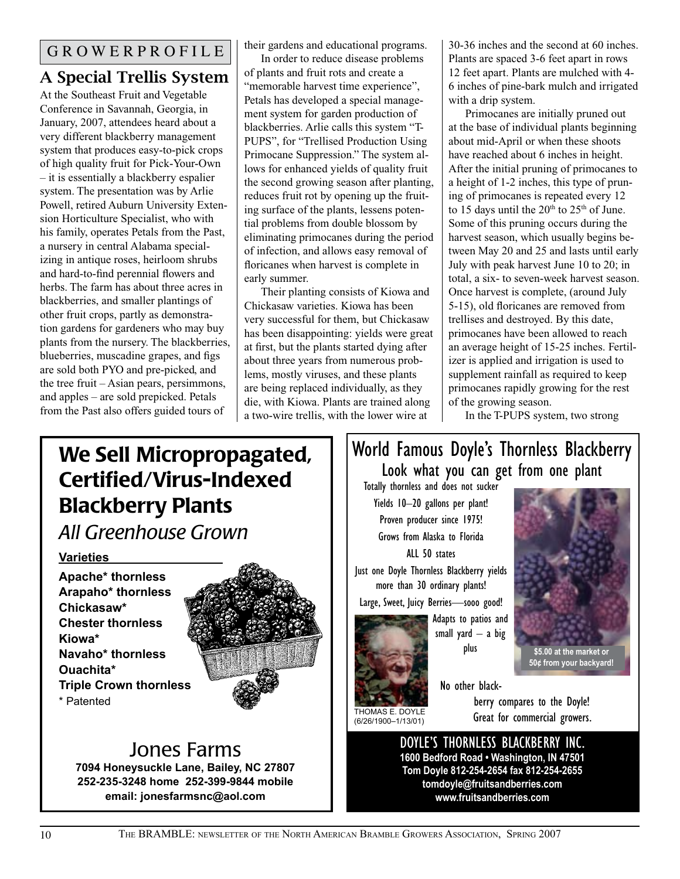# A Special Trellis System

At the Southeast Fruit and Vegetable Conference in Savannah, Georgia, in January, 2007, attendees heard about a very different blackberry management system that produces easy-to-pick crops of high quality fruit for Pick-Your-Own – it is essentially a blackberry espalier system. The presentation was by Arlie Powell, retired Auburn University Extension Horticulture Specialist, who with his family, operates Petals from the Past, a nursery in central Alabama specializing in antique roses, heirloom shrubs and hard-to-find perennial flowers and herbs. The farm has about three acres in blackberries, and smaller plantings of other fruit crops, partly as demonstration gardens for gardeners who may buy plants from the nursery. The blackberries, blueberries, muscadine grapes, and figs are sold both PYO and pre-picked, and the tree fruit – Asian pears, persimmons, and apples – are sold prepicked. Petals from the Past also offers guided tours of

their gardens and educational programs.

In order to reduce disease problems of plants and fruit rots and create a "memorable harvest time experience", Petals has developed a special management system for garden production of blackberries. Arlie calls this system "T-PUPS", for "Trellised Production Using Primocane Suppression." The system allows for enhanced yields of quality fruit the second growing season after planting, reduces fruit rot by opening up the fruiting surface of the plants, lessens potential problems from double blossom by eliminating primocanes during the period of infection, and allows easy removal of floricanes when harvest is complete in early summer.

Their planting consists of Kiowa and Chickasaw varieties. Kiowa has been very successful for them, but Chickasaw has been disappointing: yields were great at first, but the plants started dying after about three years from numerous problems, mostly viruses, and these plants are being replaced individually, as they die, with Kiowa. Plants are trained along a two-wire trellis, with the lower wire at

30-36 inches and the second at 60 inches. Plants are spaced 3-6 feet apart in rows 12 feet apart. Plants are mulched with 4- 6 inches of pine-bark mulch and irrigated with a drip system.

Primocanes are initially pruned out at the base of individual plants beginning about mid-April or when these shoots have reached about 6 inches in height. After the initial pruning of primocanes to a height of 1-2 inches, this type of pruning of primocanes is repeated every 12 to 15 days until the  $20<sup>th</sup>$  to  $25<sup>th</sup>$  of June. Some of this pruning occurs during the harvest season, which usually begins between May 20 and 25 and lasts until early July with peak harvest June 10 to 20; in total, a six- to seven-week harvest season. Once harvest is complete, (around July 5-15), old floricanes are removed from trellises and destroyed. By this date, primocanes have been allowed to reach an average height of 15-25 inches. Fertilizer is applied and irrigation is used to supplement rainfall as required to keep primocanes rapidly growing for the rest of the growing season.

In the T-PUPS system, two strong

# We Sell Micropropagated, Certified/Virus-Indexed Blackberry Plants

*All Greenhouse Grown*

## **Varieties**

**Apache\* thornless Arapaho\* thornless Chickasaw\* Chester thornless Kiowa\* Navaho\* thornless Ouachita\* Triple Crown thornless**  \* Patented



# Jones Farms

**7094 Honeysuckle Lane, Bailey, NC 27807 252-235-3248 home 252-399-9844 mobile email: jonesfarmsnc@aol.com**

## World Famous Doyle's Thornless Blackberry Look what you can get from one plant

Totally thornless and does not sucker Yields 10–20 gallons per plant! Proven producer since 1975! Grows from Alaska to Florida ALL 50 states

Just one Doyle Thornless Blackberry yields more than 30 ordinary plants!

Large, Sweet, Juicy Berries—sooo good!



(6/26/1900–1/13/01)

Adapts to patios and small yard  $-$  a big plus



berry compares to the Doyle! Great for commercial growers.

**\$5.00 at the market or**

DOYLE'S THORNLESS BLACKBERRY INC. **1600 Bedford Road • Washington, IN 47501 Tom Doyle 812-254-2654 fax 812-254-2655 tomdoyle@fruitsandberries.com www.fruitsandberries.com**

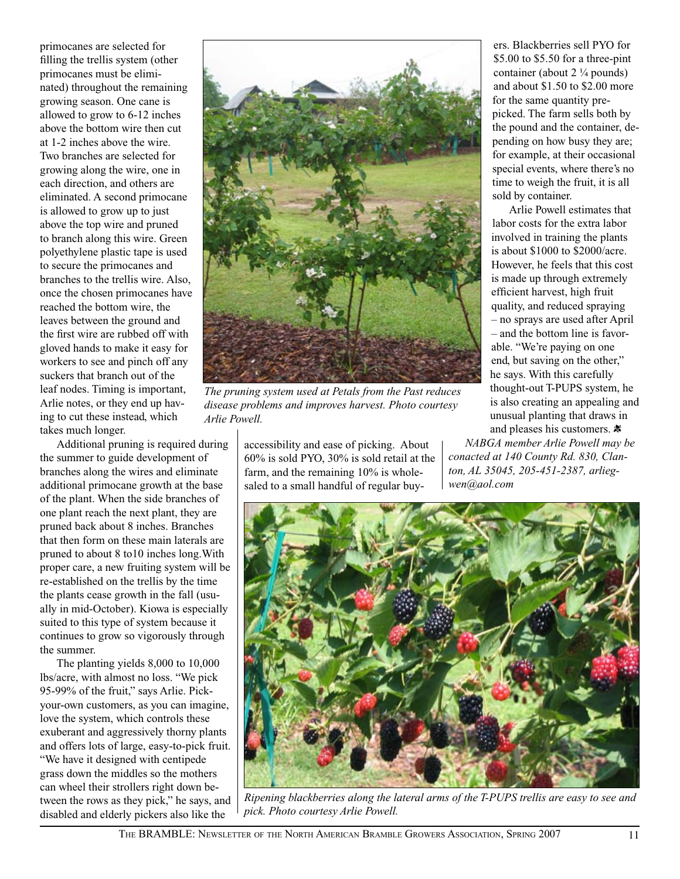primocanes are selected for filling the trellis system (other primocanes must be eliminated) throughout the remaining growing season. One cane is allowed to grow to 6-12 inches above the bottom wire then cut at 1-2 inches above the wire. Two branches are selected for growing along the wire, one in each direction, and others are eliminated. A second primocane is allowed to grow up to just above the top wire and pruned to branch along this wire. Green polyethylene plastic tape is used to secure the primocanes and branches to the trellis wire. Also, once the chosen primocanes have reached the bottom wire, the leaves between the ground and the first wire are rubbed off with gloved hands to make it easy for workers to see and pinch off any suckers that branch out of the leaf nodes. Timing is important, Arlie notes, or they end up having to cut these instead, which takes much longer.

Additional pruning is required during the summer to guide development of branches along the wires and eliminate additional primocane growth at the base of the plant. When the side branches of one plant reach the next plant, they are pruned back about 8 inches. Branches that then form on these main laterals are pruned to about 8 to10 inches long.With proper care, a new fruiting system will be re-established on the trellis by the time the plants cease growth in the fall (usually in mid-October). Kiowa is especially suited to this type of system because it continues to grow so vigorously through the summer.

The planting yields 8,000 to 10,000 lbs/acre, with almost no loss. "We pick 95-99% of the fruit," says Arlie. Pickyour-own customers, as you can imagine, love the system, which controls these exuberant and aggressively thorny plants and offers lots of large, easy-to-pick fruit. "We have it designed with centipede grass down the middles so the mothers can wheel their strollers right down between the rows as they pick," he says, and disabled and elderly pickers also like the



*The pruning system used at Petals from the Past reduces disease problems and improves harvest. Photo courtesy Arlie Powell.*

accessibility and ease of picking. About 60% is sold PYO, 30% is sold retail at the farm, and the remaining 10% is wholesaled to a small handful of regular buy-

ers. Blackberries sell PYO for \$5.00 to \$5.50 for a three-pint container (about 2 ¼ pounds) and about \$1.50 to \$2.00 more for the same quantity prepicked. The farm sells both by the pound and the container, depending on how busy they are; for example, at their occasional special events, where there's no time to weigh the fruit, it is all sold by container.

Arlie Powell estimates that labor costs for the extra labor involved in training the plants is about \$1000 to \$2000/acre. However, he feels that this cost is made up through extremely efficient harvest, high fruit quality, and reduced spraying – no sprays are used after April – and the bottom line is favorable. "We're paying on one end, but saving on the other," he says. With this carefully thought-out T-PUPS system, he is also creating an appealing and unusual planting that draws in and pleases his customers.  $\ast$ 

*NABGA member Arlie Powell may be conacted at 140 County Rd. 830, Clanton, AL 35045, 205-451-2387, arliegwen@aol.com*



*Ripening blackberries along the lateral arms of the T-PUPS trellis are easy to see and pick. Photo courtesy Arlie Powell.*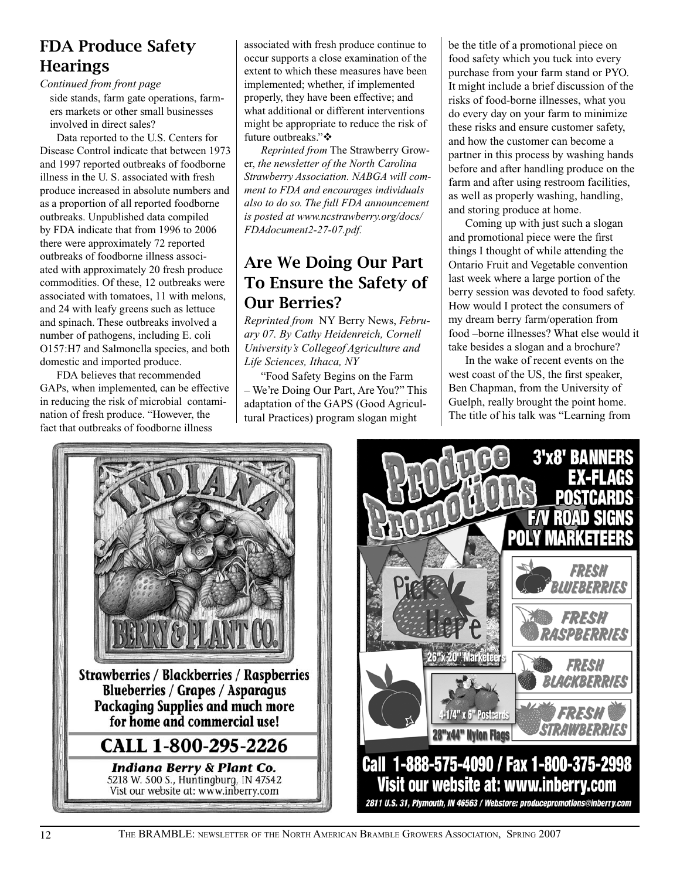## FDA Produce Safety **Hearings**

*Continued from front page*

side stands, farm gate operations, farmers markets or other small businesses involved in direct sales?

Data reported to the U.S. Centers for Disease Control indicate that between 1973 and 1997 reported outbreaks of foodborne illness in the U. S. associated with fresh produce increased in absolute numbers and as a proportion of all reported foodborne outbreaks. Unpublished data compiled by FDA indicate that from 1996 to 2006 there were approximately 72 reported outbreaks of foodborne illness associated with approximately 20 fresh produce commodities. Of these, 12 outbreaks were associated with tomatoes, 11 with melons, and 24 with leafy greens such as lettuce and spinach. These outbreaks involved a number of pathogens, including E. coli O157:H7 and Salmonella species, and both domestic and imported produce.

FDA believes that recommended GAPs, when implemented, can be effective in reducing the risk of microbial contamination of fresh produce. "However, the fact that outbreaks of foodborne illness

associated with fresh produce continue to occur supports a close examination of the extent to which these measures have been implemented; whether, if implemented properly, they have been effective; and what additional or different interventions might be appropriate to reduce the risk of future outbreaks." $\mathbf{\dot{\cdot}}$ 

*Reprinted from* The Strawberry Grower, *the newsletter of the North Carolina Strawberry Association. NABGA will comment to FDA and encourages individuals also to do so. The full FDA announcement is posted at www.ncstrawberry.org/docs/ FDAdocument2-27-07.pdf.*

## Are We Doing Our Part To Ensure the Safety of Our Berries?

*Reprinted from* NY Berry News, *February 07. By Cathy Heidenreich, Cornell University's Collegeof Agriculture and Life Sciences, Ithaca, NY* 

"Food Safety Begins on the Farm – We're Doing Our Part, Are You?" This adaptation of the GAPS (Good Agricultural Practices) program slogan might

be the title of a promotional piece on food safety which you tuck into every purchase from your farm stand or PYO. It might include a brief discussion of the risks of food-borne illnesses, what you do every day on your farm to minimize these risks and ensure customer safety, and how the customer can become a partner in this process by washing hands before and after handling produce on the farm and after using restroom facilities, as well as properly washing, handling, and storing produce at home.

Coming up with just such a slogan and promotional piece were the first things I thought of while attending the Ontario Fruit and Vegetable convention last week where a large portion of the berry session was devoted to food safety. How would I protect the consumers of my dream berry farm/operation from food –borne illnesses? What else would it take besides a slogan and a brochure?

In the wake of recent events on the west coast of the US, the first speaker, Ben Chapman, from the University of Guelph, really brought the point home. The title of his talk was "Learning from



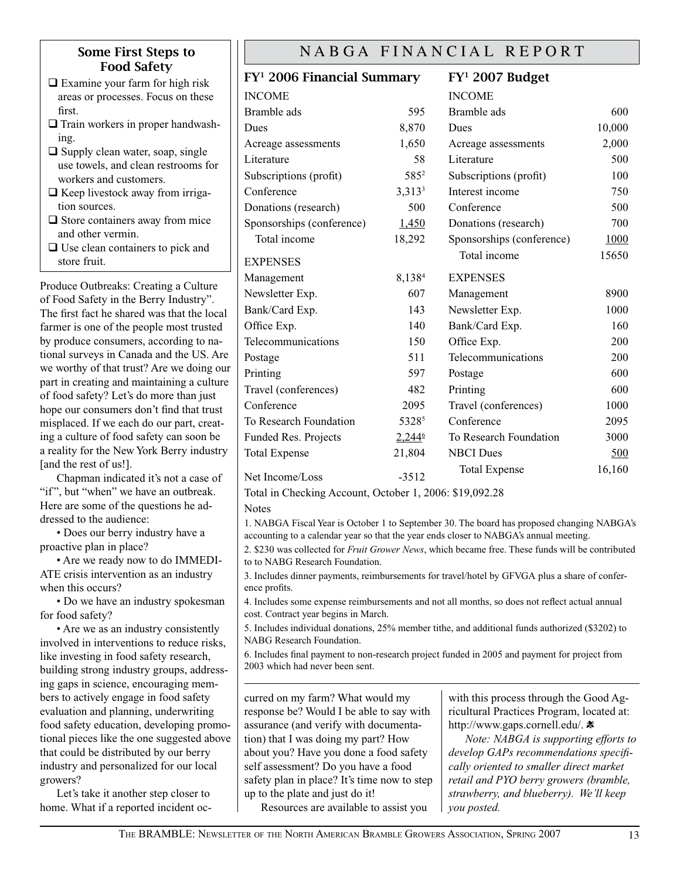#### Some First Steps to Food Safety

- $\Box$  Examine your farm for high risk areas or processes. Focus on these first.
- $\Box$  Train workers in proper handwashing.
- $\Box$  Supply clean water, soap, single use towels, and clean restrooms for workers and customers.
- $\Box$  Keep livestock away from irrigation sources.
- $\Box$  Store containers away from mice and other vermin.
- $\Box$  Use clean containers to pick and store fruit.

Produce Outbreaks: Creating a Culture of Food Safety in the Berry Industry". The first fact he shared was that the local farmer is one of the people most trusted by produce consumers, according to national surveys in Canada and the US. Are we worthy of that trust? Are we doing our part in creating and maintaining a culture of food safety? Let's do more than just hope our consumers don't find that trust misplaced. If we each do our part, creating a culture of food safety can soon be a reality for the New York Berry industry [and the rest of us!].

Chapman indicated it's not a case of "if", but "when" we have an outbreak. Here are some of the questions he addressed to the audience:

• Does our berry industry have a proactive plan in place?

• Are we ready now to do IMMEDI-ATE crisis intervention as an industry when this occurs?

• Do we have an industry spokesman for food safety?

• Are we as an industry consistently involved in interventions to reduce risks, like investing in food safety research, building strong industry groups, addressing gaps in science, encouraging members to actively engage in food safety evaluation and planning, underwriting food safety education, developing promotional pieces like the one suggested above that could be distributed by our berry industry and personalized for our local growers?

Let's take it another step closer to home. What if a reported incident oc-

## NABGA FINANCIAL REPORT

## FY1 2006 Financial Summary

## FY1 2007 Budget

| <b>INCOME</b>             |                  | <b>INCOME</b>             |        |
|---------------------------|------------------|---------------------------|--------|
| Bramble ads               | 595              | Bramble ads               | 600    |
| Dues                      | 8,870            | Dues                      | 10,000 |
| Acreage assessments       | 1,650            | Acreage assessments       | 2,000  |
| Literature                | 58               | Literature                | 500    |
| Subscriptions (profit)    | 585 <sup>2</sup> | Subscriptions (profit)    | 100    |
| Conference                | $3,313^3$        | Interest income           | 750    |
| Donations (research)      | 500              | Conference                | 500    |
| Sponsorships (conference) | 1,450            | Donations (research)      | 700    |
| Total income              | 18,292           | Sponsorships (conference) | 1000   |
| <b>EXPENSES</b>           |                  | Total income              | 15650  |
| Management                | 8,1384           | <b>EXPENSES</b>           |        |
| Newsletter Exp.           | 607              | Management                | 8900   |
| Bank/Card Exp.            | 143              | Newsletter Exp.           | 1000   |
| Office Exp.               | 140              | Bank/Card Exp.            | 160    |
| Telecommunications        | 150              | Office Exp.               | 200    |
| Postage                   | 511              | Telecommunications        | 200    |
| Printing                  | 597              | Postage                   | 600    |
| Travel (conferences)      | 482              | Printing                  | 600    |
| Conference                | 2095             | Travel (conferences)      | 1000   |
| To Research Foundation    | 53285            | Conference                | 2095   |
| Funded Res. Projects      | $2,244^6$        | To Research Foundation    | 3000   |
| <b>Total Expense</b>      | 21,804           | <b>NBCI</b> Dues          | 500    |
| Net Income/Loss           | $-3512$          | <b>Total Expense</b>      | 16,160 |

Total in Checking Account, October 1, 2006: \$19,092.28

Notes

1. NABGA Fiscal Year is October 1 to September 30. The board has proposed changing NABGA's accounting to a calendar year so that the year ends closer to NABGA's annual meeting.

2. \$230 was collected for *Fruit Grower News*, which became free. These funds will be contributed to to NABG Research Foundation.

3. Includes dinner payments, reimbursements for travel/hotel by GFVGA plus a share of conference profits.

4. Includes some expense reimbursements and not all months, so does not reflect actual annual cost. Contract year begins in March.

5. Includes individual donations, 25% member tithe, and additional funds authorized (\$3202) to NABG Research Foundation.

6. Includes final payment to non-research project funded in 2005 and payment for project from 2003 which had never been sent.

curred on my farm? What would my response be? Would I be able to say with assurance (and verify with documentation) that I was doing my part? How about you? Have you done a food safety self assessment? Do you have a food safety plan in place? It's time now to step up to the plate and just do it!

Resources are available to assist you

with this process through the Good Agricultural Practices Program, located at: http://www.gaps.cornell.edu/. \*

*Note: NABGA is supporting efforts to develop GAPs recommendations specifically oriented to smaller direct market retail and PYO berry growers (bramble, strawberry, and blueberry). We'll keep you posted.*